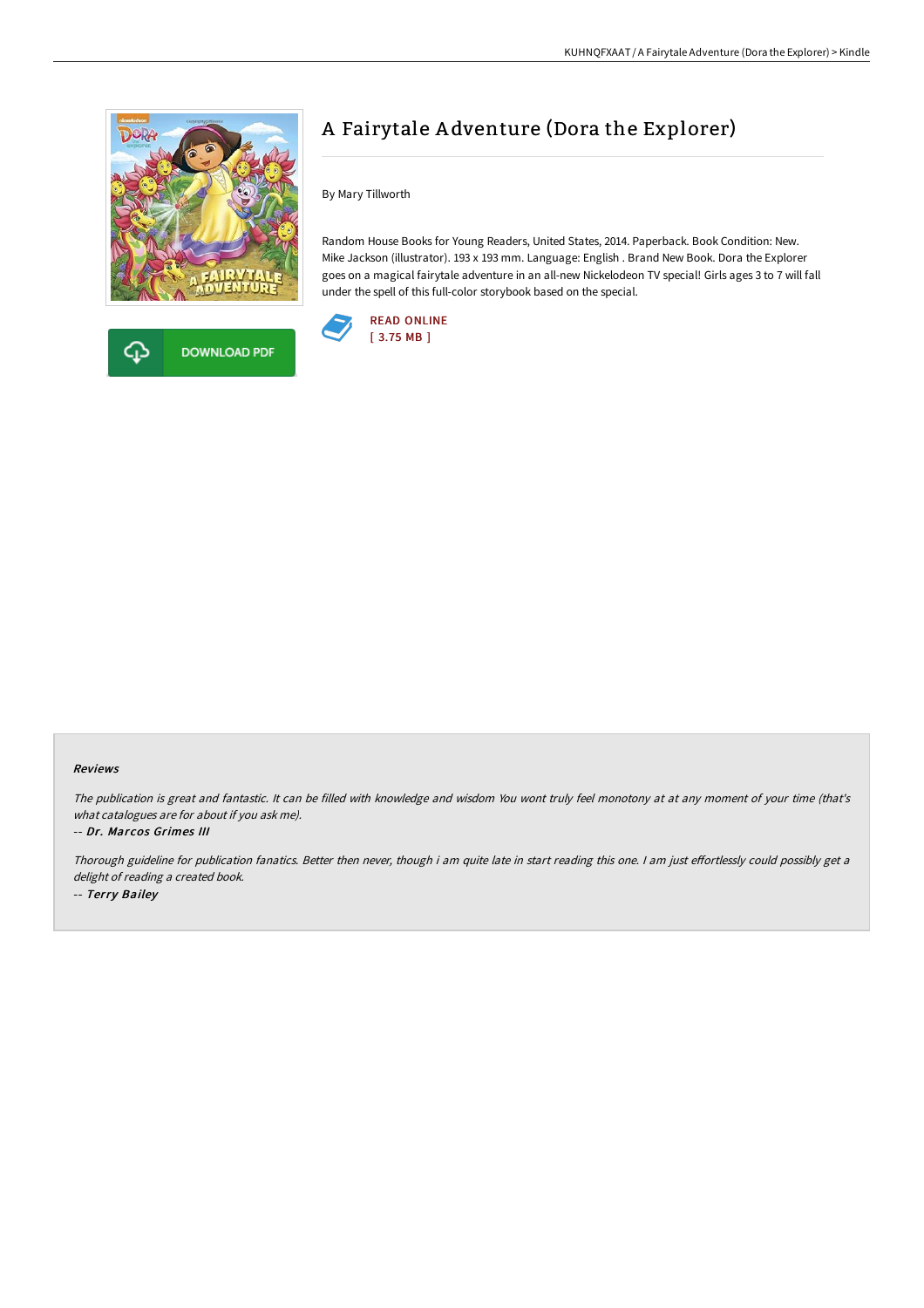



# A Fairytale A dventure (Dora the Explorer)

By Mary Tillworth

Random House Books for Young Readers, United States, 2014. Paperback. Book Condition: New. Mike Jackson (illustrator). 193 x 193 mm. Language: English . Brand New Book. Dora the Explorer goes on a magical fairytale adventure in an all-new Nickelodeon TV special! Girls ages 3 to 7 will fall under the spell of this full-color storybook based on the special.



## Reviews

The publication is great and fantastic. It can be filled with knowledge and wisdom You wont truly feel monotony at at any moment of your time (that's what catalogues are for about if you ask me).

#### -- Dr. Marcos Grimes III

Thorough guideline for publication fanatics. Better then never, though i am quite late in start reading this one. I am just effortlessly could possibly get a delight of reading <sup>a</sup> created book. -- Terry Bailey